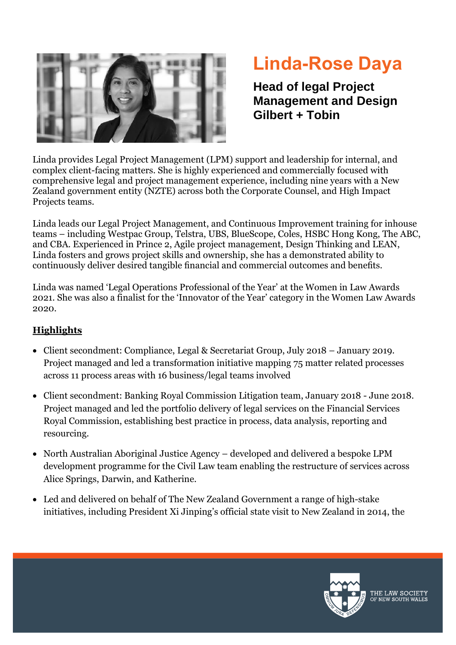

## **Linda-Rose Daya**

**Head of legal Project Management and Design Gilbert + Tobin**

Linda provides Legal Project Management (LPM) support and leadership for internal, and complex client-facing matters. She is highly experienced and commercially focused with comprehensive legal and project management experience, including nine years with a New Zealand government entity (NZTE) across both the Corporate Counsel, and High Impact Projects teams.

Linda leads our Legal Project Management, and Continuous Improvement training for inhouse teams – including Westpac Group, Telstra, UBS, BlueScope, Coles, HSBC Hong Kong, The ABC, and CBA. Experienced in Prince 2, Agile project management, Design Thinking and LEAN, Linda fosters and grows project skills and ownership, she has a demonstrated ability to continuously deliver desired tangible financial and commercial outcomes and benefits.

Linda was named 'Legal Operations Professional of the Year' at the Women in Law Awards 2021. She was also a finalist for the 'Innovator of the Year' category in the Women Law Awards 2020.

## **Highlights**

- Client secondment: Compliance, Legal & Secretariat Group, July 2018 January 2019. Project managed and led a transformation initiative mapping 75 matter related processes across 11 process areas with 16 business/legal teams involved
- Client secondment: Banking Royal Commission Litigation team, January 2018 June 2018. Project managed and led the portfolio delivery of legal services on the Financial Services Royal Commission, establishing best practice in process, data analysis, reporting and resourcing.
- North Australian Aboriginal Justice Agency developed and delivered a bespoke LPM development programme for the Civil Law team enabling the restructure of services across Alice Springs, Darwin, and Katherine.
- Led and delivered on behalf of The New Zealand Government a range of high-stake initiatives, including President Xi Jinping's official state visit to New Zealand in 2014, the